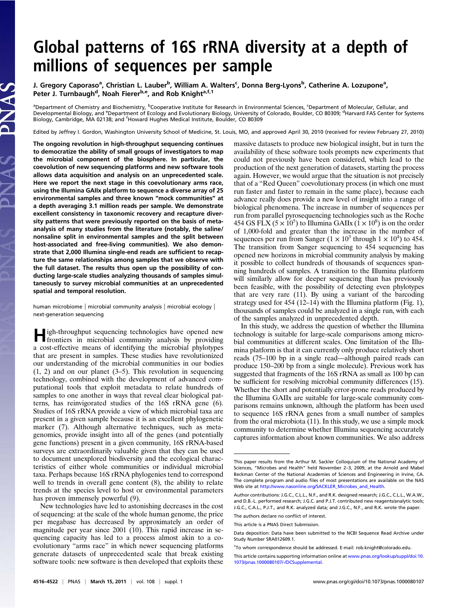# Global patterns of 16S rRNA diversity at a depth of millions of sequences per sample

J. Gregory Caporaso<sup>a</sup>, Christian L. Lauber<sup>b</sup>, William A. Walters<sup>c</sup>, Donna Berg-Lyons<sup>b</sup>, Catherine A. Lozupone<sup>a</sup>, Peter J. Turnbaugh<sup>d</sup>, Noah Fierer<sup>b,e</sup>, and Rob Knight<sup>a,f,1</sup>

<sup>a</sup>Department of Chemistry and Biochemistry, <sup>b</sup>Cooperative Institute for Research in Environmental Sciences, <sup>c</sup>Department of Molecular, Cellular, and Developmental Biology, and <sup>e</sup>Department of Ecology and Evolutionary Biology, University of Colorado, Boulder, CO 80309; <sup>d</sup>Harvard FAS Center for Systems Biology, Cambridge, MA 02138; and <sup>f</sup>Howard Hughes Medical Institute, Boulder, CO 80309

Edited by Jeffrey I. Gordon, Washington University School of Medicine, St. Louis, MO, and approved April 30, 2010 (received for review February 27, 2010)

The ongoing revolution in high-throughput sequencing continues to democratize the ability of small groups of investigators to map the microbial component of the biosphere. In particular, the coevolution of new sequencing platforms and new software tools allows data acquisition and analysis on an unprecedented scale. Here we report the next stage in this coevolutionary arms race, using the Illumina GAIIx platform to sequence a diverse array of 25 environmental samples and three known "mock communities" at a depth averaging 3.1 million reads per sample. We demonstrate excellent consistency in taxonomic recovery and recapture diversity patterns that were previously reported on the basis of metaanalysis of many studies from the literature (notably, the saline/ nonsaline split in environmental samples and the split between host-associated and free-living communities). We also demonstrate that 2,000 Illumina single-end reads are sufficient to recapture the same relationships among samples that we observe with the full dataset. The results thus open up the possibility of conducting large-scale studies analyzing thousands of samples simultaneously to survey microbial communities at an unprecedented spatial and temporal resolution.

human microbiome | microbial community analysis | microbial ecology | next-generation sequencing

High-throughput sequencing technologies have opened new frontiers in microbial community analysis by providing a cost-effective means of identifying the microbial phylotypes that are present in samples. These studies have revolutionized our understanding of the microbial communities in our bodies  $(1, 2)$  and on our planet  $(3-5)$ . This revolution in sequencing technology, combined with the development of advanced computational tools that exploit metadata to relate hundreds of samples to one another in ways that reveal clear biological patterns, has reinvigorated studies of the 16S rRNA gene (6). Studies of 16S rRNA provide a view of which microbial taxa are present in a given sample because it is an excellent phylogenetic marker (7). Although alternative techniques, such as metagenomics, provide insight into all of the genes (and potentially gene functions) present in a given community, 16S rRNA-based surveys are extraordinarily valuable given that they can be used to document unexplored biodiversity and the ecological characteristics of either whole communities or individual microbial taxa. Perhaps because 16S rRNA phylogenies tend to correspond well to trends in overall gene content (8), the ability to relate trends at the species level to host or environmental parameters has proven immensely powerful (9).

New technologies have led to astonishing decreases in the cost of sequencing: at the scale of the whole human genome, the price per megabase has decreased by approximately an order of magnitude per year since 2001 (10). This rapid increase in sequencing capacity has led to a process almost akin to a coevolutionary "arms race" in which newer sequencing platforms generate datasets of unprecedented scale that break existing software tools: new software is then developed that exploits these massive datasets to produce new biological insight, but in turn the availability of these software tools prompts new experiments that could not previously have been considered, which lead to the production of the next generation of datasets, starting the process again. However, we would argue that the situation is not precisely that of a "Red Queen" coevolutionary process (in which one must run faster and faster to remain in the same place), because each advance really does provide a new level of insight into a range of biological phenomena. The increase in number of sequences per run from parallel pyrosequencing technologies such as the Roche 454 GS FLX  $(5 \times 10^5)$  to Illumina GAIIx  $(1 \times 10^8)$  is on the order of 1,000-fold and greater than the increase in the number of sequences per run from Sanger  $(1 \times 10^3$  through  $1 \times 10^4$ ) to 454. The transition from Sanger sequencing to 454 sequencing has opened new horizons in microbial community analysis by making it possible to collect hundreds of thousands of sequences spanning hundreds of samples. A transition to the Illumina platform will similarly allow for deeper sequencing than has previously been feasible, with the possibility of detecting even phylotypes that are very rare (11). By using a variant of the barcoding strategy used for 454 (12–14) with the Illumina platform (Fig. 1), thousands of samples could be analyzed in a single run, with each of the samples analyzed in unprecedented depth.

In this study, we address the question of whether the Illumina technology is suitable for large-scale comparisons among microbial communities at different scales. One limitation of the Illumina platform is that it can currently only produce relatively short reads (75–100 bp in a single read—although paired reads can produce 150–200 bp from a single molecule). Previous work has suggested that fragments of the 16S rRNA as small as 100 bp can be sufficient for resolving microbial community differences (15). Whether the short and potentially error-prone reads produced by the Illumina GAIIx are suitable for large-scale community comparisons remains unknown, although the platform has been used to sequence 16S rRNA genes from a small number of samples from the oral microbiota (11). In this study, we use a simple mock community to determine whether Illumina sequencing accurately captures information about known communities. We also address

The authors declare no conflict of interest.

This paper results from the Arthur M. Sackler Colloquium of the National Academy of Sciences, "Microbes and Health" held November 2–3, 2009, at the Arnold and Mabel Beckman Center of the National Academies of Sciences and Engineering in Irvine, CA. The complete program and audio files of most presentations are available on the NAS Web site at [http://www.nasonline.org/SACKLER\\_Microbes\\_and\\_Health](http://www.nasonline.org/SACKLER_Microbes_and_Health).

Author contributions: J.G.C., C.L.L., N.F., and R.K. designed research; J.G.C., C.L.L., W.A.W., and D.B.-L. performed research; J.G.C. and P.J.T. contributed new reagents/analytic tools; J.G.C., C.A.L., P.J.T., and R.K. analyzed data; and J.G.C., N.F., and R.K. wrote the paper.

This article is a PNAS Direct Submission.

Data deposition: Data have been submitted to the NCBI Sequence Read Archive under Study Number SRA012609.1.

<sup>&</sup>lt;sup>1</sup>To whom correspondence should be addressed. E-mail: [rob.knight@colorado.edu.](mailto:rob.knight@colorado.edu)

This article contains supporting information online at [www.pnas.org/lookup/suppl/doi:10.](http://www.pnas.org/lookup/suppl/doi:10.1073/pnas.1000080107/-/DCSupplemental) [1073/pnas.1000080107/-/DCSupplemental.](http://www.pnas.org/lookup/suppl/doi:10.1073/pnas.1000080107/-/DCSupplemental)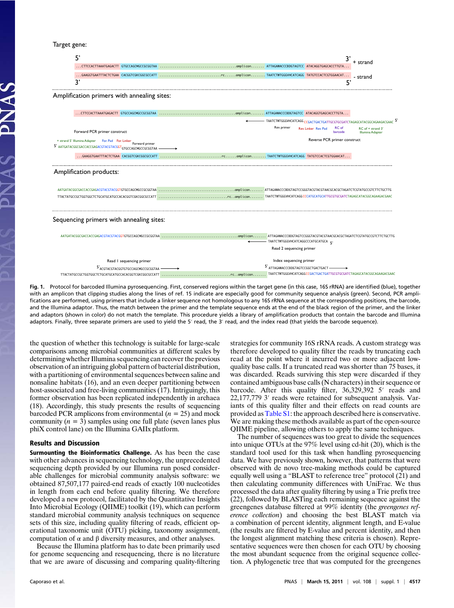## Target gene:

|                                                                                                                                                                             | 5'                                                                      |                                                         |                                                                      |  |
|-----------------------------------------------------------------------------------------------------------------------------------------------------------------------------|-------------------------------------------------------------------------|---------------------------------------------------------|----------------------------------------------------------------------|--|
|                                                                                                                                                                             |                                                                         |                                                         | + strand                                                             |  |
|                                                                                                                                                                             |                                                                         |                                                         | - strand                                                             |  |
|                                                                                                                                                                             | 3'                                                                      | 5'                                                      |                                                                      |  |
|                                                                                                                                                                             | Amplification primers with annealing sites:                             |                                                         |                                                                      |  |
|                                                                                                                                                                             |                                                                         |                                                         |                                                                      |  |
|                                                                                                                                                                             | - TAATCTWTGGGVHCATCAGG CCGACTGACTGATTGCGTGCGATCTAGAGCATACGGCAGAAGACGAAC |                                                         |                                                                      |  |
|                                                                                                                                                                             | Forward PCR primer construct                                            | Rev. primer<br>RC of<br>Rev. Linker Rev. Pad<br>barcode | RC of + strand 3'<br>Illumina Adapter                                |  |
| Reverse PCR primer construct<br>+ strand 5' Illumina Adapter For. Pad For. Linker<br>Forward primer<br>5' AATGATACGGCGACCACCGAGACGTACGTACGGT <sub>GTGCCAGCMGCCGCGGTAA</sub> |                                                                         |                                                         |                                                                      |  |
|                                                                                                                                                                             |                                                                         |                                                         |                                                                      |  |
|                                                                                                                                                                             | Amplification products:                                                 |                                                         |                                                                      |  |
|                                                                                                                                                                             |                                                                         |                                                         |                                                                      |  |
|                                                                                                                                                                             |                                                                         |                                                         |                                                                      |  |
|                                                                                                                                                                             | Sequencing primers with annealing sites:                                |                                                         |                                                                      |  |
| - TAATCTWTGGGVHCATCAGGCCCATGCATGCA                                                                                                                                          |                                                                         |                                                         |                                                                      |  |
|                                                                                                                                                                             |                                                                         | Read 2 sequencing primer                                |                                                                      |  |
|                                                                                                                                                                             | Read I sequencing primer                                                | Index sequencing primer                                 |                                                                      |  |
| 5'ACGTACGTACGGTGTGCCAGCMGCCGCGGTAA -                                                                                                                                        |                                                                         | 5' ATTAGAWACCCBDGTAGTCCGGCTGACTGACT-                    |                                                                      |  |
|                                                                                                                                                                             |                                                                         |                                                         | TAATCTWTGGGVHCATCAGGCCGACTGACTGATTGCGTGCGATCTAGAGCATACGGCAGAAGACGAAC |  |

Fig. 1. Protocol for barcoded Illumina pyrosequencing. First, conserved regions within the target gene (in this case, 16S rRNA) are identified (blue), together with an amplicon that clipping studies along the lines of ref. 15 indicate are especially good for community sequence analysis (green). Second, PCR amplifications are performed, using primers that include a linker sequence not homologous to any 16S rRNA sequence at the corresponding positions, the barcode, and the Illumina adaptor. Thus, the match between the primer and the template sequence ends at the end of the black region of the primer, and the linker and adaptors (shown in color) do not match the template. This procedure yields a library of amplification products that contain the barcode and Illumina adaptors. Finally, three separate primers are used to yield the 5′ read, the 3′ read, and the index read (that yields the barcode sequence).

the question of whether this technology is suitable for large-scale comparisons among microbial communities at different scales by determining whether Illumina sequencing can recover the previous observation of an intriguing global pattern of bacterial distribution, with a partitioning of environmental sequences between saline and nonsaline habitats (16), and an even deeper partitioning between host-associated and free-living communities (17). Intriguingly, this former observation has been replicated independently in archaea (18). Accordingly, this study presents the results of sequencing barcoded PCR amplicons from environmental  $(n = 25)$  and mock community  $(n = 3)$  samples using one full plate (seven lanes plus phiX control lane) on the Illumina GAIIx platform.

## Results and Discussion

Surmounting the Bioinformatics Challenge. As has been the case with other advances in sequencing technology, the unprecedented sequencing depth provided by our Illumina run posed considerable challenges for microbial community analysis software: we obtained 87,507,177 paired-end reads of exactly 100 nucleotides in length from each end before quality filtering. We therefore developed a new protocol, facilitated by the Quantitative Insights Into Microbial Ecology (QIIME) toolkit (19), which can perform standard microbial community analysis techniques on sequence sets of this size, including quality filtering of reads, efficient operational taxonomic unit (OTU) picking, taxonomy assignment, computation of α and β diversity measures, and other analyses.

Because the Illumina platform has to date been primarily used for genome sequencing and resequencing, there is no literature that we are aware of discussing and comparing quality-filtering strategies for community 16S rRNA reads. A custom strategy was therefore developed to quality filter the reads by truncating each read at the point where it incurred two or more adjacent lowquality base calls. If a truncated read was shorter than 75 bases, it was discarded. Reads surviving this step were discarded if they contained ambiguous base calls (N characters) in their sequence or barcode. After this quality filter, 36,329,392 5′ reads and 22,177,779 3′ reads were retained for subsequent analysis. Variants of this quality filter and their effects on read counts are provided as [Table S1](http://www.pnas.org/lookup/suppl/doi:10.1073/pnas.1000080107/-/DCSupplemental/pnas.201000080SI.pdf?targetid=nameddest=ST1): the approach described here is conservative. We are making these methods available as part of the open-source QIIME pipeline, allowing others to apply the same techniques.

The number of sequences was too great to divide the sequences into unique OTUs at the 97% level using cd-hit (20), which is the standard tool used for this task when handling pyrosequencing data. We have previously shown, however, that patterns that were observed with de novo tree-making methods could be captured equally well using a "BLAST to reference tree" protocol (21) and then calculating community differences with UniFrac. We thus processed the data after quality filtering by using a Trie prefix tree (22), followed by BLASTing each remaining sequence against the greengenes database filtered at 99% identity (the greengenes reference collection) and choosing the best BLAST match via a combination of percent identity, alignment length, and E-value (the results are filtered by E-value and percent identity, and then the longest alignment matching these criteria is chosen). Representative sequences were then chosen for each OTU by choosing the most abundant sequence from the original sequence collection. A phylogenetic tree that was computed for the greengenes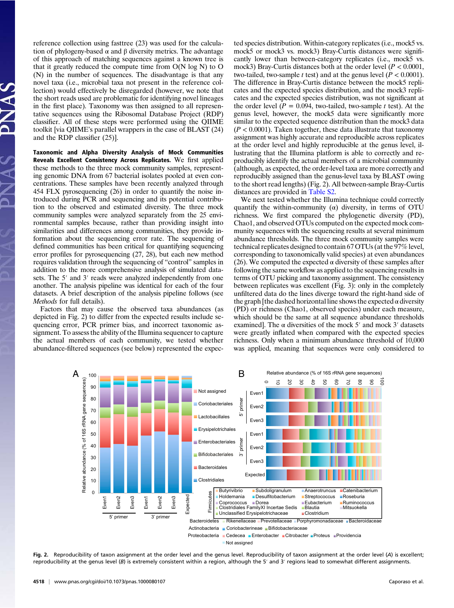reference collection using fasttree (23) was used for the calculation of phylogeny-based α and β diversity metrics. The advantage of this approach of matching sequences against a known tree is that it greatly reduced the compute time from  $O(N \log N)$  to  $O$ (N) in the number of sequences. The disadvantage is that any novel taxa (i.e., microbial taxa not present in the reference collection) would effectively be disregarded (however, we note that the short reads used are problematic for identifying novel lineages in the first place). Taxonomy was then assigned to all representative sequences using the Ribosomal Database Project (RDP) classifier. All of these steps were performed using the QIIME toolkit [via QIIME's parallel wrappers in the case of BLAST (24) and the RDP classifier (25)].

Taxonomic and Alpha Diversity Analysis of Mock Communities Reveals Excellent Consistency Across Replicates. We first applied these methods to the three mock community samples, representing genomic DNA from 67 bacterial isolates pooled at even concentrations. These samples have been recently analyzed through 454 FLX pyrosequencing (26) in order to quantify the noise introduced during PCR and sequencing and its potential contribution to the observed and estimated diversity. The three mock community samples were analyzed separately from the 25 environmental samples because, rather than providing insight into similarities and differences among communities, they provide information about the sequencing error rate. The sequencing of defined communities has been critical for quantifying sequencing error profiles for pyrosequencing (27, 28), but each new method requires validation through the sequencing of "control" samples in addition to the more comprehensive analysis of simulated datasets. The 5′ and 3′ reads were analyzed independently from one another. The analysis pipeline was identical for each of the four datasets. A brief description of the analysis pipeline follows (see *Methods* for full details).

Factors that may cause the observed taxa abundances (as depicted in Fig. 2) to differ from the expected results include sequencing error, PCR primer bias, and incorrect taxonomic assignment. To assess the ability of the Illumina sequencer to capture the actual members of each community, we tested whether abundance-filtered sequences (see below) represented the expected species distribution. Within-category replicates (i.e., mock5 vs. mock5 or mock3 vs. mock3) Bray-Curtis distances were significantly lower than between-category replicates (i.e., mock5 vs. mock3) Bray-Curtis distances both at the order level ( $P < 0.0001$ , two-tailed, two-sample t test) and at the genus level ( $P < 0.0001$ ). The difference in Bray-Curtis distance between the mock5 replicates and the expected species distribution, and the mock3 replicates and the expected species distribution, was not significant at the order level  $(P = 0.094$ , two-tailed, two-sample t test). At the genus level, however, the mock5 data were significantly more similar to the expected sequence distribution than the mock3 data  $(P < 0.0001)$ . Taken together, these data illustrate that taxonomy assignment was highly accurate and reproducible across replicates at the order level and highly reproducible at the genus level, illustrating that the Illumina platform is able to correctly and reproducibly identify the actual members of a microbial community (although, as expected, the order-level taxa are more correctly and reproducibly assigned than the genus-level taxa by BLAST owing to the short read lengths) (Fig. 2). All between-sample Bray-Curtis distances are provided in [Table S2](http://www.pnas.org/lookup/suppl/doi:10.1073/pnas.1000080107/-/DCSupplemental/pnas.201000080SI.pdf?targetid=nameddest=ST2).

We next tested whether the Illumina technique could correctly quantify the within-community  $(\alpha)$  diversity, in terms of OTU richness. We first compared the phylogenetic diversity (PD), Chao1, and observed OTUs computed on the expected mock community sequences with the sequencing results at several minimum abundance thresholds. The three mock community samples were technical replicates designed to contain 67 OTUs (at the 97% level, corresponding to taxonomically valid species) at even abundances (26). We computed the expected  $\alpha$  diversity of these samples after following the same workflow as applied to the sequencing results in terms of OTU picking and taxonomy assignment. The consistency between replicates was excellent (Fig. 3): only in the completely unfiltered data do the lines diverge toward the right-hand side of the graph [the dashed horizontal line shows the expected  $\alpha$  diversity (PD) or richness (Chao1, observed species) under each measure, which should be the same at all sequence abundance thresholds examined]. The  $\alpha$  diversities of the mock 5' and mock 3' datasets were greatly inflated when compared with the expected species richness. Only when a minimum abundance threshold of 10,000 was applied, meaning that sequences were only considered to



Fig. 2. Reproducibility of taxon assignment at the order level and the genus level. Reproducibility of taxon assignment at the order level (A) is excellent; reproducibility at the genus level (B) is extremely consistent within a region, although the 5′ and 3′ regions lead to somewhat different assignments.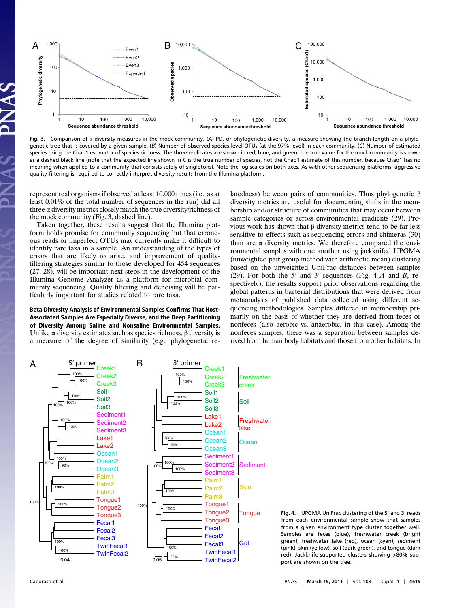

Fig. 3. Comparison of  $\alpha$  diversity measures in the mock community. (A) PD, or phylogenetic diversity, a measure showing the branch length on a phylogenetic tree that is covered by a given sample. (B) Number of observed species-level OTUs (at the 97% level) in each community. (C) Number of estimated species using the Chao1 estimator of species richness. The three replicates are shown in red, blue, and green; the true value for the mock community is shown as a dashed black line (note that the expected line shown in C is the true number of species, not the Chao1 estimate of this number, because Chao1 has no meaning when applied to a community that consists solely of singletons). Note the log scales on both axes. As with other sequencing platforms, aggressive quality filtering is required to correctly interpret diversity results from the Illumina platform.

represent real organisms if observed at least 10,000 times (i.e., as at least 0.01% of the total number of sequences in the run) did all three  $\alpha$  diversity metrics closely match the true diversity/richness of the mock community (Fig. 3, dashed line).

Taken together, these results suggest that the Illumina platform holds promise for community sequencing but that erroneous reads or imperfect OTUs may currently make it difficult to identify rare taxa in a sample. An understanding of the types of errors that are likely to arise, and improvement of qualityfiltering strategies similar to those developed for 454 sequences (27, 28), will be important next steps in the development of the Illumina Genome Analyzer as a platform for microbial community sequencing. Quality filtering and denoising will be particularly important for studies related to rare taxa.

## Beta Diversity Analysis of Environmental Samples Confirms That Host-Associated Samples Are Especially Diverse, and the Deep Partitioning of Diversity Among Saline and Nonsaline Environmental Samples.

Unlike  $\alpha$  diversity estimates such as species richness,  $\beta$  diversity is a measure of the degree of similarity (e.g., phylogenetic relatedness) between pairs of communities. Thus phylogenetic β diversity metrics are useful for documenting shifts in the membership and/or structure of communities that may occur between sample categories or across environmental gradients (29). Previous work has shown that β diversity metrics tend to be far less sensitive to effects such as sequencing errors and chimeras (30) than are α diversity metrics. We therefore compared the environmental samples with one another using jackknifed UPGMA (unweighted pair group method with arithmetic mean) clustering based on the unweighted UniFrac distances between samples (29). For both the 5' and 3' sequences (Fig. 4  $\dot{A}$  and  $\dot{B}$ , respectively), the results support prior observations regarding the global patterns in bacterial distributions that were derived from metaanalysis of published data collected using different sequencing methodologies. Samples differed in membership primarily on the basis of whether they are derived from feces or nonfeces (also aerobic vs. anaerobic, in this case). Among the nonfeces samples, there was a separation between samples derived from human body habitats and those from other habitats. In



Fig. 4. UPGMA UniFrac clustering of the 5′ and 3′ reads from each environmental sample show that samples from a given environment type cluster together well. Samples are feces (blue), freshwater creek (bright green), freshwater lake (red), ocean (cyan), sediment (pink), skin (yellow), soil (dark green), and tongue (dark red). Jackknife-supported clusters showing >80% support are shown on the tree.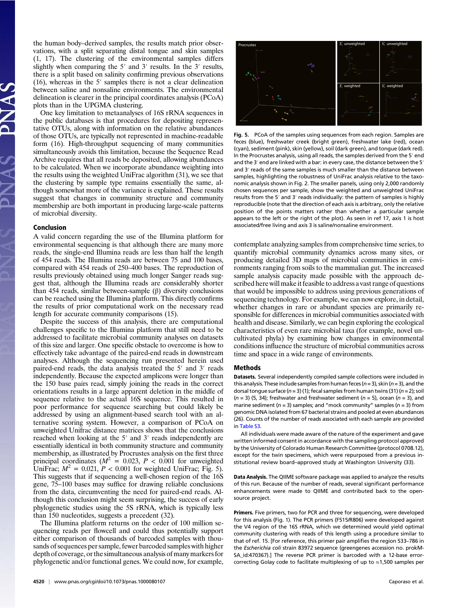the human body–derived samples, the results match prior observations, with a split separating distal tongue and skin samples (1, 17). The clustering of the environmental samples differs slightly when comparing the 5′ and 3′ results. In the 3′ results, there is a split based on salinity confirming previous observations (16), whereas in the 5′ samples there is not a clear delineation between saline and nonsaline environments. The environmental delineation is clearer in the principal coordinates analysis (PCoA) plots than in the UPGMA clustering.

One key limitation to metaanalyses of 16S rRNA sequences in the public databases is that procedures for depositing representative OTUs, along with information on the relative abundances of those OTUs, are typically not represented in machine-readable form (16). High-throughput sequencing of many communities simultaneously avoids this limitation, because the Sequence Read Archive requires that all reads be deposited, allowing abundances to be calculated. When we incorporate abundance weighting into the results using the weighted UniFrac algorithm (31), we see that the clustering by sample type remains essentially the same, although somewhat more of the variance is explained. These results suggest that changes in community structure and community membership are both important in producing large-scale patterns of microbial diversity.

### Conclusion

A valid concern regarding the use of the Illumina platform for environmental sequencing is that although there are many more reads, the single-end Illumina reads are less than half the length of 454 reads. The Illumina reads are between 75 and 100 bases, compared with 454 reads of 250–400 bases. The reproduction of results previously obtained using much longer Sanger reads suggest that, although the Illumina reads are considerably shorter than 454 reads, similar between-sample  $(β)$  diversity conclusions can be reached using the Illumina platform. This directly confirms the results of prior computational work on the necessary read length for accurate community comparisons (15).

Despite the success of this analysis, there are computational challenges specific to the Illumina platform that still need to be addressed to facilitate microbial community analyses on datasets of this size and larger. One specific obstacle to overcome is how to effectively take advantage of the paired-end reads in downstream analyses. Although the sequencing run presented herein used paired-end reads, the data analysis treated the 5′ and 3′ reads independently. Because the expected amplicons were longer than the 150 base pairs read, simply joining the reads in the correct orientations results in a large apparent deletion in the middle of sequence relative to the actual 16S sequence. This resulted in poor performance for sequence searching but could likely be addressed by using an alignment-based search tool with an alternative scoring system. However, a comparison of PCoA on unweighted Unifrac distance matrices shows that the conclusions reached when looking at the 5′ and 3′ reads independently are essentially identical in both community structure and community membership, as illustrated by Procrustes analysis on the first three principal coordinates ( $M^2 = 0.023$ ,  $P < 0.001$  for unweighted UniFrac;  $M^2 = 0.021$ ,  $P < 0.001$  for weighted UniFrac; Fig. 5). This suggests that if sequencing a well-chosen region of the 16S gene, 75–100 bases may suffice for drawing reliable conclusions from the data, circumventing the need for paired-end reads. Although this conclusion might seem surprising, the success of early phylogenetic studies using the 5S rRNA, which is typically less than 150 nucleotides, suggests a precedent (32).

The Illumina platform returns on the order of 100 million sequencing reads per flowcell and could thus potentially support either comparison of thousands of barcoded samples with thousands of sequences per sample, fewer barcoded samples with higher depth of coverage, or the simultaneous analysis of many markers for phylogenetic and/or functional genes. We could now, for example,



Fig. 5. PCoA of the samples using sequences from each region. Samples are feces (blue), freshwater creek (bright green), freshwater lake (red), ocean (cyan), sediment (pink), skin (yellow), soil (dark green), and tongue (dark red). In the Procrustes analysis, using all reads, the samples derived from the 5′ end and the 3<sup>'</sup> end are linked with a bar: in every case, the distance between the 5<sup>'</sup> and 3′ reads of the same samples is much smaller than the distance between samples, highlighting the robustness of UniFrac analysis relative to the taxonomic analysis shown in Fig. 2. The smaller panels, using only 2,000 randomly chosen sequences per sample, show the weighted and unweighted UniFrac results from the 5′ and 3′ reads individually: the pattern of samples is highly reproducible (note that the direction of each axis is arbitrary, only the relative position of the points matters rather than whether a particular sample appears to the left or the right of the plot). As seen in ref 17, axis 1 is host associated/free living and axis 3 is saline/nonsaline environment.

contemplate analyzing samples from comprehensive time series, to quantify microbial community dynamics across many sites, or producing detailed 3D maps of microbial communities in environments ranging from soils to the mammalian gut. The increased sample analysis capacity made possible with the approach described here will make it feasible to address a vast range of questions that would be impossible to address using previous generations of sequencing technology. For example, we can now explore, in detail, whether changes in rare or abundant species are primarily responsible for differences in microbial communities associated with health and disease. Similarly, we can begin exploring the ecological characteristics of even rare microbial taxa (for example, novel uncultivated phyla) by examining how changes in environmental conditions influence the structure of microbial communities across time and space in a wide range of environments.

### Methods

Datasets. Several independently compiled sample collections were included in this analysis. These include samples from human feces ( $n = 3$ ), skin ( $n = 3$ ), and the dorsal tongue surface ( $n = 3$ ) (1); fecal samples from human twins (31) ( $n = 2$ ); soil  $(n = 3)$  (5, 34); freshwater and freshwater sediment  $(n = 5)$ , ocean  $(n = 3)$ , and marine sediment ( $n = 3$ ) samples; and "mock community" samples ( $n = 3$ ) from genomic DNA isolated from 67 bacterial strains and pooled at even abundances (26). Counts of the number of reads associated with each sample are provided in [Table S3](http://www.pnas.org/lookup/suppl/doi:10.1073/pnas.1000080107/-/DCSupplemental/pnas.201000080SI.pdf?targetid=nameddest=ST3).

All individuals were made aware of the nature of the experiment and gave written informed consent in accordance with the sampling protocol approved by the University of Colorado Human Research Committee (protocol 0708.12), except for the twin specimens, which were repurposed from a previous institutional review board–approved study at Washington University (33).

Data Analysis. The QIIME software package was applied to analyze the results of this run. Because of the number of reads, several significant performance enhancements were made to QIIME and contributed back to the opensource project.

Primers. Five primers, two for PCR and three for sequencing, were developed for this analysis (Fig. 1). The PCR primers (F515/R806) were developed against the V4 region of the 16S rRNA, which we determined would yield optimal community clustering with reads of this length using a procedure similar to that of ref. 15. [For reference, this primer pair amplifies the region 533–786 in the Escherichia coli strain 83972 sequence (greengenes accession no. prokM-SA\_id:470367).] The reverse PCR primer is barcoded with a 12-base errorcorrecting Golay code to facilitate multiplexing of up to ≈1,500 samples per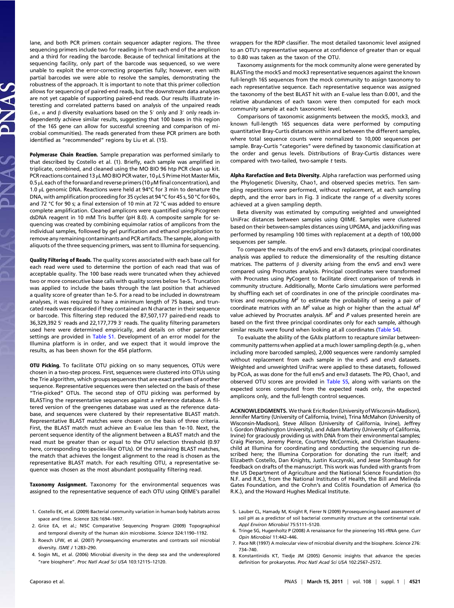lane, and both PCR primers contain sequencer adapter regions. The three sequencing primers include two for reading in from each end of the amplicon and a third for reading the barcode. Because of technical limitations at the sequencing facility, only part of the barcode was sequenced, so we were unable to exploit the error-correcting properties fully; however, even with partial barcodes we were able to resolve the samples, demonstrating the robustness of the approach. It is important to note that this primer collection allows for sequencing of paired-end reads, but the downstream data analyses are not yet capable of supporting paired-end reads. Our results illustrate interesting and correlated patterns based on analysis of the unpaired reads (i.e.,  $\alpha$  and  $\beta$  diversity evaluations based on the 5' only and 3' only reads independently achieve similar results, suggesting that 100 bases in this region of the 16S gene can allow for successful screening and comparison of microbial communities). The reads generated from these PCR primers are both identified as "recommended" regions by Liu et al. (15).

Polymerase Chain Reaction. Sample preparation was performed similarly to that described by Costello et al. (1). Briefly, each sample was amplified in triplicate, combined, and cleaned using the MO BIO 96 htp PCR clean up kit. PCR reactions contained 13 μL MO BIO PCR water, 10 μL 5 Prime Hot Master Mix, 0.5 μL each of the forward and reverse primers (10 μM final concentration), and 1.0 μL genomic DNA. Reactions were held at 94°C for 3 min to denature the DNA, with amplification proceeding for 35 cycles at 94 °C for 45 s, 50 °C for 60 s, and 72 °C for 90 s; a final extension of 10 min at 72 °C was added to ensure complete amplification. Cleaned amplicons were quantified using Picogreen dsDNA reagent in 10 mM Tris buffer (pH 8.0). A composite sample for sequencing was created by combining equimolar ratios of amplicons from the individual samples, followed by gel purification and ethanol precipitation to remove any remaining contaminants and PCR artifacts. The sample, along with aliquots of the three sequencing primers, was sent to Illumina for sequencing.

Quality Filtering of Reads. The quality scores associated with each base call for each read were used to determine the portion of each read that was of acceptable quality. The 100 base reads were truncated when they achieved two or more consecutive base calls with quality scores below 1e-5. Truncation was applied to include the bases through the last position that achieved a quality score of greater than 1e-5. For a read to be included in downstream analyses, it was required to have a minimum length of 75 bases, and truncated reads were discarded if they contained an N character in their sequence or barcode. This filtering step reduced the 87,507,177 paired-end reads to 36,329,392 5′ reads and 22,177,779 3′ reads. The quality filtering parameters used here were determined empirically, and details on other parameter settings are provided in [Table S1](http://www.pnas.org/lookup/suppl/doi:10.1073/pnas.1000080107/-/DCSupplemental/pnas.201000080SI.pdf?targetid=nameddest=ST1). Development of an error model for the Illumina platform is in order, and we expect that it would improve the results, as has been shown for the 454 platform.

OTU Picking. To facilitate OTU picking on so many sequences, OTUs were chosen in a two-step process. First, sequences were clustered into OTUs using the Trie algorithm, which groups sequences that are exact prefixes of another sequence. Representative sequences were then selected on the basis of these "Trie-picked" OTUs. The second step of OTU picking was performed by BLASTing the representative sequences against a reference database. A filtered version of the greengenes database was used as the reference database, and sequences were clustered by their representative BLAST match. Representative BLAST matches were chosen on the basis of three criteria. First, the BLAST match must achieve an E-value less than 1e-10. Next, the percent sequence identity of the alignment between a BLAST match and the read must be greater than or equal to the OTU selection threshold (0.97 here, corresponding to species-like OTUs). Of the remaining BLAST matches, the match that achieves the longest alignment to the read is chosen as the representative BLAST match. For each resulting OTU, a representative sequence was chosen as the most abundant postquality filtering read.

Taxonomy Assignment. Taxonomy for the environmental sequences was assigned to the representative sequence of each OTU using QIIME's parallel

- 1. Costello EK, et al. (2009) Bacterial community variation in human body habitats across space and time. Science 326:1694–1697.
- 2. Grice EA, et al.; NISC Comparative Sequencing Program (2009) Topographical and temporal diversity of the human skin microbiome. Science 324:1190–1192.
- 3. Roesch LFW, et al. (2007) Pyrosequencing enumerates and contrasts soil microbial diversity. ISME J 1:283–290.
- 4. Sogin ML, et al. (2006) Microbial diversity in the deep sea and the underexplored "rare biosphere". Proc Natl Acad Sci USA 103:12115–12120.

wrappers for the RDP classifier. The most detailed taxonomic level assigned to an OTU's representative sequence at confidence of greater than or equal to 0.80 was taken as the taxon of the OTU.

Taxonomy assignments for the mock community alone were generated by BLASTing the mock5 and mock3 representative sequences against the known full-length 16S sequences from the mock community to assign taxonomy to each representative sequence. Each representative sequence was assigned the taxonomy of the best BLAST hit with an E-value less than 0.001, and the relative abundances of each taxon were then computed for each mock community sample at each taxonomic level.

Comparisons of taxonomic assignments between the mock5, mock3, and known full-length 16S sequences data were performed by computing quantitative Bray-Curtis distances within and between the different samples, where total sequence counts were normalized to 10,000 sequences per sample. Bray-Curtis "categories" were defined by taxonomic classification at the order and genus levels. Distributions of Bray-Curtis distances were compared with two-tailed, two-sample t tests.

Alpha Rarefaction and Beta Diversity. Alpha rarefaction was performed using the Phylogenetic Diversity, Chao1, and observed species metrics. Ten sampling repetitions were performed, without replacement, at each sampling depth, and the error bars in Fig. 3 indicate the range of  $\alpha$  diversity scores achieved at a given sampling depth.

Beta diversity was estimated by computing weighted and unweighted UniFrac distances between samples using QIIME. Samples were clustered based on their between-samples distances using UPGMA, and jackknifing was performed by resampling 100 times with replacement at a depth of 100,000 sequences per sample.

To compare the results of the env5 and env3 datasets, principal coordinates analysis was applied to reduce the dimensionality of the resulting distance matrices. The patterns of  $\beta$  diversity arising from the env5 and env3 were compared using Procrustes analysis. Principal coordinates were transformed with Procrustes using PyCogent to facilitate direct comparison of trends in community structure. Additionally, Monte Carlo simulations were performed by shuffling each set of coordinates in one of the principle coordinates matrices and recomputing  $M^2$  to estimate the probability of seeing a pair of coordinate matrices with an  $M^2$  value as high or higher than the actual  $M^2$ value achieved by Procrustes analysis.  $M^2$  and P values presented herein are based on the first three principal coordinates only for each sample, although similar results were found when looking at all coordinates ([Table S4\)](http://www.pnas.org/lookup/suppl/doi:10.1073/pnas.1000080107/-/DCSupplemental/pnas.201000080SI.pdf?targetid=nameddest=ST4).

To evaluate the ability of the GAIIx platform to recapture similar betweencommunity patterns when applied at a much lower sampling depth (e.g., when including more barcoded samples), 2,000 sequences were randomly sampled without replacement from each sample in the env5 and env3 datasets. Weighted and unweighted UniFrac were applied to these datasets, followed by PCoA, as was done for the full env5 and env3 datasets. The PD, Chao1, and observed OTU scores are provided in [Table S5,](http://www.pnas.org/lookup/suppl/doi:10.1073/pnas.1000080107/-/DCSupplemental/pnas.201000080SI.pdf?targetid=nameddest=ST5) along with variants on the expected scores computed from the expected reads only, the expected amplicons only, and the full-length control sequences.

ACKNOWLEDGMENTS. We thank Eric Roden (University ofWisconsin-Madison), Jennifer Martiny (University of California, Irvine), Trina McMahon (University of Wisconsin-Madison), Steve Allison (University of California, Irvine), Jeffrey I. Gordon (Washington University), and Adam Martiny (University of California, Irvine) for graciously providing us with DNA from their environmental samples; Craig Pierson, Jeremy Pierce, Courtney McCormick, and Christian Haudenschild at Illumina for coordinating and conducting the sequencing run described here; the Illumina Corporation for donating the run itself; and Elizabeth Costello, Dan Knights, Justin Kuczynski, and Jesse Stombaugh for feedback on drafts of the manuscript. This work was funded with grants from the US Department of Agriculture and the National Science Foundation (to N.F. and R.K.), from the National Institutes of Health, the Bill and Melinda Gates Foundation, and the Crohn's and Colitis Foundation of America (to R.K.), and the Howard Hughes Medical Institute.

- 5. Lauber CL, Hamady M, Knight R, Fierer N (2009) Pyrosequencing-based assessment of soil pH as a predictor of soil bacterial community structure at the continental scale. Appl Environ Microbiol 75:5111–5120.
- 6. Tringe SG, Hugenholtz P (2008) A renaissance for the pioneering 16S rRNA gene. Curr Opin Microbiol 11:442–446.
- 7. Pace NR (1997) A molecular view of microbial diversity and the biosphere. Science 276: 734–740.
- 8. Konstantinidis KT, Tiedje JM (2005) Genomic insights that advance the species definition for prokaryotes. Proc Natl Acad Sci USA 102:2567–2572.